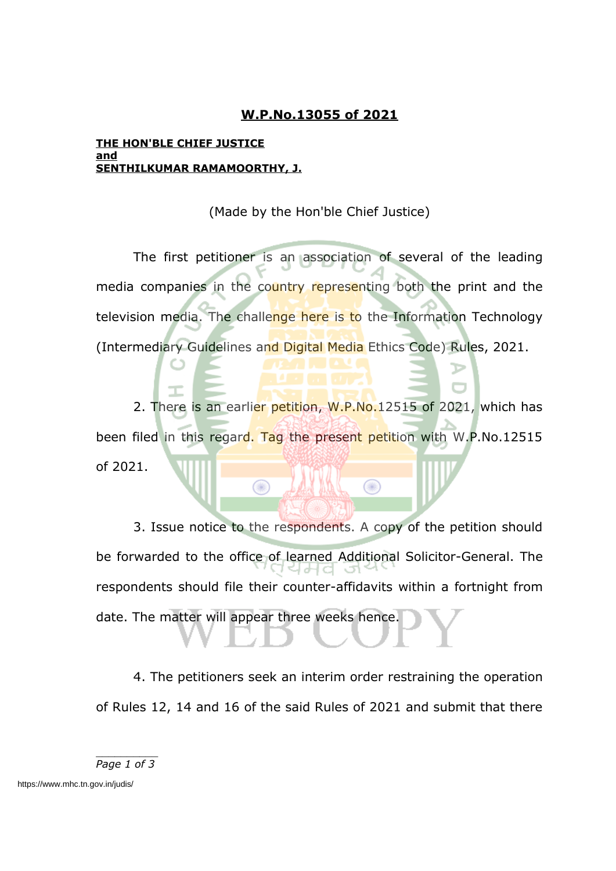## **W.P.No.13055 of 2021**

## **THE HON'BLE CHIEF JUSTICE and SENTHILKUMAR RAMAMOORTHY, J.**

(Made by the Hon'ble Chief Justice)

The first petitioner is an association of several of the leading media companies in the country representing both the print and the television media. The challenge here is to the Information Technology (Intermediary Guidelines and Digital Media Ethics Code) Rules, 2021.

2. There is an earlier petition, W.P.No.12515 of 2021, which has been filed in this regard. Tag the present petition with W.P.No.12515 of 2021.

 $\circledcirc$ 

⋒

3. Issue notice to the respondents. A copy of the petition should be forwarded to the office of learned Additional Solicitor-General. The respondents should file their counter-affidavits within a fortnight from date. The matter will appear three weeks hence.

4. The petitioners seek an interim order restraining the operation of Rules 12, 14 and 16 of the said Rules of 2021 and submit that there

*Page 1 of 3*

https://www.mhc.tn.gov.in/judis/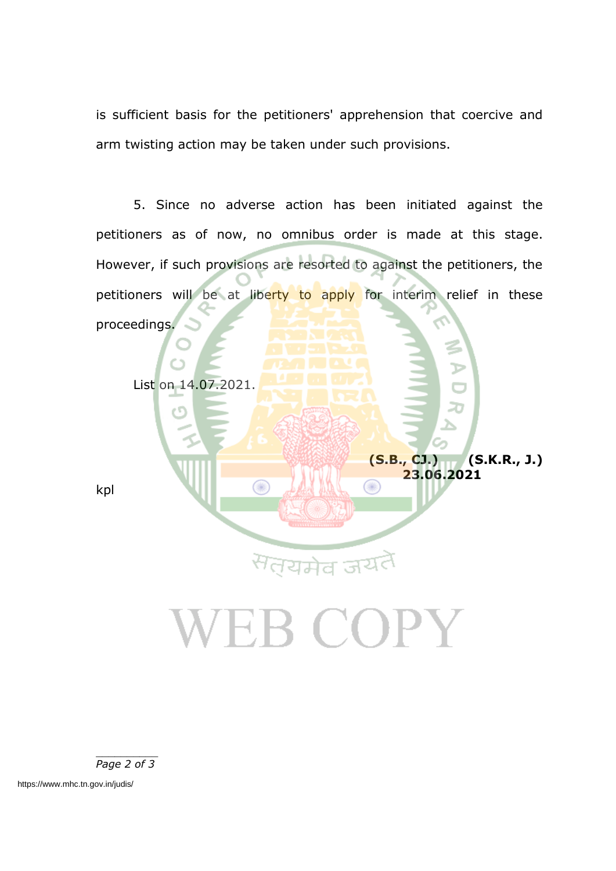is sufficient basis for the petitioners' apprehension that coercive and arm twisting action may be taken under such provisions.

5. Since no adverse action has been initiated against the petitioners as of now, no omnibus order is made at this stage. However, if such provisions are resorted to against the petitioners, the petitioners will be at liberty to apply for interim relief in these proceedings.

List on 14.07.2021.

kpl

**(S.B., CJ.) (S.K.R., J.) 23.06.2021**

## **/EB COPY**

सतयमेव जय

T

*Page 2 of 3*

https://www.mhc.tn.gov.in/judis/